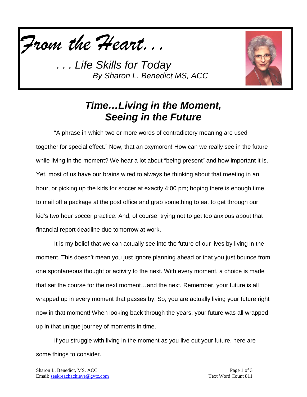



## *Time…Living in the Moment, Seeing in the Future*

"A phrase in which two or more words of contradictory meaning are used together for special effect." Now, that an oxymoron! How can we really see in the future while living in the moment? We hear a lot about "being present" and how important it is. Yet, most of us have our brains wired to always be thinking about that meeting in an hour, or picking up the kids for soccer at exactly 4:00 pm; hoping there is enough time to mail off a package at the post office and grab something to eat to get through our kid's two hour soccer practice. And, of course, trying not to get too anxious about that financial report deadline due tomorrow at work.

It is my belief that we can actually see into the future of our lives by living in the moment. This doesn't mean you just ignore planning ahead or that you just bounce from one spontaneous thought or activity to the next. With every moment, a choice is made that set the course for the next moment…and the next. Remember, your future is all wrapped up in every moment that passes by. So, you are actually living your future right now in that moment! When looking back through the years, your future was all wrapped up in that unique journey of moments in time.

If you struggle with living in the moment as you live out your future, here are some things to consider.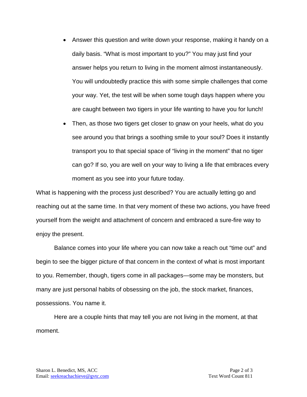- Answer this question and write down your response, making it handy on a daily basis. "What is most important to you?" You may just find your answer helps you return to living in the moment almost instantaneously. You will undoubtedly practice this with some simple challenges that come your way. Yet, the test will be when some tough days happen where you are caught between two tigers in your life wanting to have you for lunch!
- Then, as those two tigers get closer to gnaw on your heels, what do you see around you that brings a soothing smile to your soul? Does it instantly transport you to that special space of "living in the moment" that no tiger can go? If so, you are well on your way to living a life that embraces every moment as you see into your future today.

What is happening with the process just described? You are actually letting go and reaching out at the same time. In that very moment of these two actions, you have freed yourself from the weight and attachment of concern and embraced a sure-fire way to enjoy the present.

Balance comes into your life where you can now take a reach out "time out" and begin to see the bigger picture of that concern in the context of what is most important to you. Remember, though, tigers come in all packages—some may be monsters, but many are just personal habits of obsessing on the job, the stock market, finances, possessions. You name it.

Here are a couple hints that may tell you are not living in the moment, at that moment.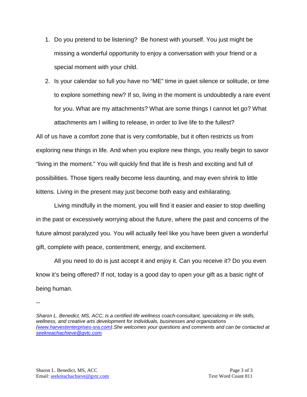- 1. Do you pretend to be listening? Be honest with yourself. You just might be missing a wonderful opportunity to enjoy a conversation with your friend or a special moment with your child.
- 2. Is your calendar so full you have no "ME" time in quiet silence or solitude, or time to explore something new? If so, living in the moment is undoubtedly a rare event for you. What are my attachments? What are some things I cannot let go? What attachments am I willing to release, in order to live life to the fullest? All of us have a comfort zone that is very comfortable, but it often restricts us from

exploring new things in life. And when you explore new things, you really begin to savor "living in the moment." You will quickly find that life is fresh and exciting and full of possibilities. Those tigers really become less daunting, and may even shrink to little kittens. Living in the present may just become both easy and exhilarating.

Living mindfully in the moment, you will find it easier and easier to stop dwelling in the past or excessively worrying about the future, where the past and concerns of the future almost paralyzed you. You will actually feel like you have been given a wonderful gift, complete with peace, contentment, energy, and excitement.

All you need to do is just accept it and enjoy it. Can you receive it? Do you even know it's being offered? If not, today is a good day to open your gift as a basic right of being human.

--

*Sharon L. Benedict, MS, ACC, is a certified life wellness coach-consultant, specializing in life skills, wellness, and creative arts development for individuals, businesses and organizations [\(www.harvestenterprises-sra.com\)](http://www.harvestenterprises-sra.com/).She welcomes your questions and comments and can be contacted at [seekreachachieve@gvtc.com.](mailto:seekreachachieve@gvtc.com)*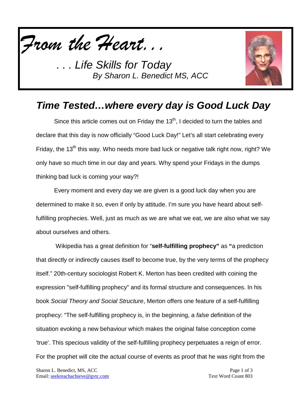



## *Time Tested…where every day is Good Luck Day*

Since this article comes out on Friday the  $13<sup>th</sup>$ , I decided to turn the tables and declare that this day is now officially "Good Luck Day!" Let's all start celebrating every Friday, the 13<sup>th</sup> this way. Who needs more bad luck or negative talk right now, right? We only have so much time in our day and years. Why spend your Fridays in the dumps thinking bad luck is coming your way?!

Every moment and every day we are given is a good luck day when you are determined to make it so, even if only by attitude. I'm sure you have heard about selffulfilling prophecies. Well, just as much as we are what we eat, we are also what we say about ourselves and others.

Wikipedia has a great definition for "**self-fulfilling prophecy"** as **"**a prediction that directly or indirectly causes itself to become true, by the very terms of the prophecy itself." 20th-century sociologist Robert K. Merton has been credited with coining the expression "self-fulfilling prophecy" and its formal structure and consequences. In his book *Social Theory and Social Structure*, Merton offers one feature of a self-fulfilling prophecy: "The self-fulfilling prophecy is, in the beginning, a *false* definition of the situation evoking a new behaviour which makes the original false conception come 'true'. This specious validity of the self-fulfilling prophecy perpetuates a reign of error. For the prophet will cite the actual course of events as proof that he was right from the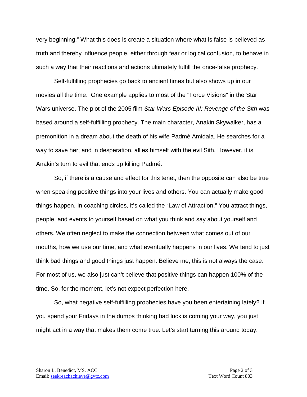very beginning." What this does is create a situation where what is false is believed as truth and thereby influence people, either through fear or logical confusion, to behave in such a way that their reactions and actions ultimately fulfill the once-false prophecy.

Self-fulfilling prophecies go back to ancient times but also shows up in our movies all the time. One example applies to most of the "Force Visions" in the Star Wars universe. The plot of the 2005 film *Star Wars Episode III: Revenge of the Sith* was based around a self-fulfilling prophecy. The main character, Anakin Skywalker, has a premonition in a dream about the death of his wife Padmé Amidala. He searches for a way to save her; and in desperation, allies himself with the evil Sith. However, it is Anakin's turn to evil that ends up killing Padmé.

So, if there is a cause and effect for this tenet, then the opposite can also be true when speaking positive things into your lives and others. You can actually make good things happen. In coaching circles, it's called the "Law of Attraction." You attract things, people, and events to yourself based on what you think and say about yourself and others. We often neglect to make the connection between what comes out of our mouths, how we use our time, and what eventually happens in our lives. We tend to just think bad things and good things just happen. Believe me, this is not always the case. For most of us, we also just can't believe that positive things can happen 100% of the time. So, for the moment, let's not expect perfection here.

So, what negative self-fulfilling prophecies have you been entertaining lately? If you spend your Fridays in the dumps thinking bad luck is coming your way, you just might act in a way that makes them come true. Let's start turning this around today.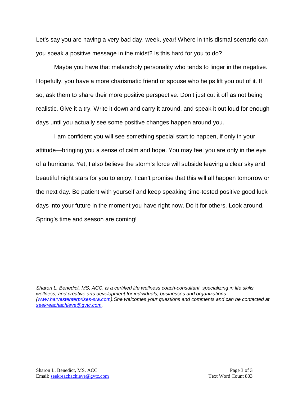Let's say you are having a very bad day, week, year! Where in this dismal scenario can you speak a positive message in the midst? Is this hard for you to do?

Maybe you have that melancholy personality who tends to linger in the negative. Hopefully, you have a more charismatic friend or spouse who helps lift you out of it. If so, ask them to share their more positive perspective. Don't just cut it off as not being realistic. Give it a try. Write it down and carry it around, and speak it out loud for enough days until you actually see some positive changes happen around you.

I am confident you will see something special start to happen, if only in your attitude—bringing you a sense of calm and hope. You may feel you are only in the eye of a hurricane. Yet, I also believe the storm's force will subside leaving a clear sky and beautiful night stars for you to enjoy. I can't promise that this will all happen tomorrow or the next day. Be patient with yourself and keep speaking time-tested positive good luck days into your future in the moment you have right now. Do it for others. Look around. Spring's time and season are coming!

--

*Sharon L. Benedict, MS, ACC, is a certified life wellness coach-consultant, specializing in life skills, wellness, and creative arts development for individuals, businesses and organizations [\(www.harvestenterprises-sra.com\)](http://www.harvestenterprises-sra.com/).She welcomes your questions and comments and can be contacted at [seekreachachieve@gvtc.com.](mailto:seekreachachieve@gvtc.com)*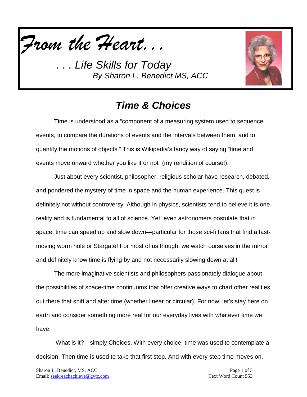



## *Time & Choices*

Time is understood as a "component of a measuring system used to sequence events, to compare the durations of events and the intervals between them, and to quantify the motions of objects." This is Wikipedia's fancy way of saying "time and events move onward whether you like it or not" (my rendition of course!).

Just about every scientist, philosopher, religious scholar have research, debated, and pondered the mystery of time in space and the human experience. This quest is definitely not without controversy. Although in physics, scientists tend to believe it is one reality and is fundamental to all of science. Yet, even astronomers postulate that in space, time can speed up and slow down—particular for those sci-fi fans that find a fastmoving worm hole or Stargate! For most of us though, we watch ourselves in the mirror and definitely know time is flying by and not necessarily slowing down at all!

The more imaginative scientists and philosophers passionately dialogue about the possibilities of space-time continuums that offer creative ways to chart other realities out there that shift and alter time (whether linear or circular). For now, let's stay here on earth and consider something more real for our everyday lives with whatever time we have.

What is it?—simply Choices. With every choice, time was used to contemplate a decision. Then time is used to take that first step. And with every step time moves on.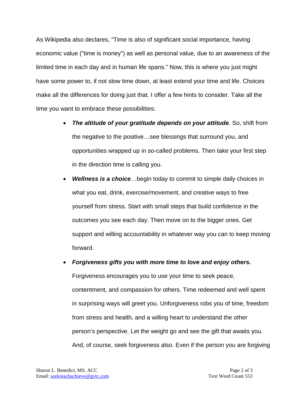As Wikipedia also declares, "Time is also of significant social importance, having economic value ("time is money") as well as personal value, due to an awareness of the limited time in each day and in human life spans." Now, this is where you just might have some power to, if not slow time down, at least extend your time and life. Choices make all the differences for doing just that. I offer a few hints to consider. Take all the time you want to embrace these possibilities:

- *The altitude of your gratitude depends on your attitude*. So, shift from the negative to the positive…see blessings that surround you, and opportunities wrapped up in so-called problems. Then take your first step in the direction time is calling you.
- *Wellness is a choice*…begin today to commit to simple daily choices in what you eat, drink, exercise/movement, and creative ways to free yourself from stress. Start with small steps that build confidence in the outcomes you see each day. Then move on to the bigger ones. Get support and willing accountability in whatever way you can to keep moving forward.
- *Forgiveness gifts you with more time to love and enjoy others.* Forgiveness encourages you to use your time to seek peace, contentment, and compassion for others. Time redeemed and well spent in surprising ways will greet you. Unforgiveness robs you of time, freedom from stress and health, and a willing heart to understand the other person's perspective. Let the weight go and see the gift that awaits you. And, of course, seek forgiveness also. Even if the person you are forgiving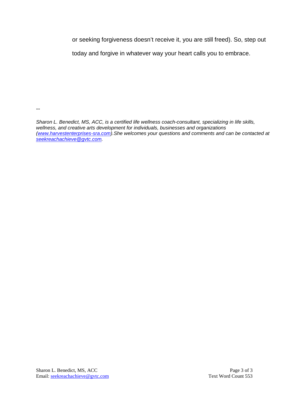or seeking forgiveness doesn't receive it, you are still freed). So, step out

today and forgive in whatever way your heart calls you to embrace.

--

*Sharon L. Benedict, MS, ACC, is a certified life wellness coach-consultant, specializing in life skills, wellness, and creative arts development for individuals, businesses and organizations [\(www.harvestenterprises-sra.com\)](http://www.harvestenterprises-sra.com/).She welcomes your questions and comments and can be contacted at [seekreachachieve@gvtc.com.](mailto:seekreachachieve@gvtc.com)*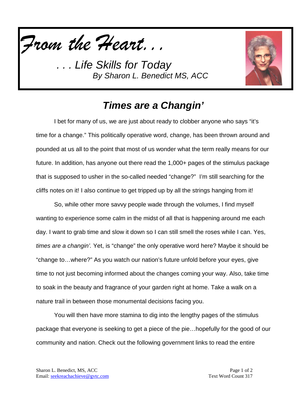



## *Times are a Changin'*

I bet for many of us, we are just about ready to clobber anyone who says "it's time for a change." This politically operative word, change, has been thrown around and pounded at us all to the point that most of us wonder what the term really means for our future. In addition, has anyone out there read the 1,000+ pages of the stimulus package that is supposed to usher in the so-called needed "change?" I'm still searching for the cliffs notes on it! I also continue to get tripped up by all the strings hanging from it!

So, while other more savvy people wade through the volumes, I find myself wanting to experience some calm in the midst of all that is happening around me each day. I want to grab time and slow it down so I can still smell the roses while I can. Yes, *times are a changin'.* Yet, is "change" the only operative word here? Maybe it should be "change to…where?" As you watch our nation's future unfold before your eyes, give time to not just becoming informed about the changes coming your way. Also, take time to soak in the beauty and fragrance of your garden right at home. Take a walk on a nature trail in between those monumental decisions facing you.

You will then have more stamina to dig into the lengthy pages of the stimulus package that everyone is seeking to get a piece of the pie…hopefully for the good of our community and nation. Check out the following government links to read the entire